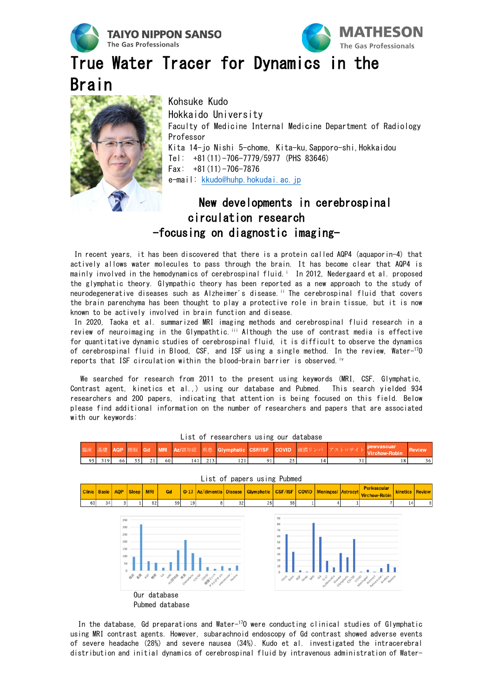



Review

36

18

True Water Tracer for Dynamics in the



Hokkaido University Faculty of Medicine Internal Medicine Department of Radiology Professor Kita 14-jo Nishi 5-chome, Kita-ku,Sapporo-shi,Hokkaidou Tel: +81(11)-706-7779/5977 (PHS 83646) Fax:  $+81(11) -706 - 7876$ e-mail: [kkudo@huhp.hokudai.ac.jp](mailto:kkudo@huhp.hokudai.ac.jp)

## New developments in cerebrospinal circulation research -focusing on diagnostic imaging-

In recent years, it has been discovered that there is a protein called AQP4 (aquaporin-4) that actively allows water molecules to pass through the brain. It has become clear that AQP4 is ma[i](#page-1-0)nly involved in the hemodynamics of cerebrospinal fluid.<sup>i</sup> In 2012, Nedergaard et al. proposed the glymphatic theory. Glympathic theory has been reported as a new approach to the study of neurodegenerative diseases such as Alzheimer's disease.<sup>[ii](#page-1-1)</sup> The cerebrospinal fluid that covers the brain parenchyma has been thought to play a protective role in brain tissue, but it is now known to be actively involved in brain function and disease.

In 2020, Taoka et al. summarized MRI imaging methods and cerebrospinal fluid research in a review of neuroimaging in the Glympathtic.<sup>[iii](#page-1-2)</sup> Although the use of contrast media is effective for quantitative dynamic studies of cerebrospinal fluid, it is difficult to observe the dynamics of cerebrospinal fluid in Blood, CSF, and ISF using a single method. In the review, Water-17O reports that ISF circulation within the blood-brain barrier is observed.<sup>[iv](#page-1-3)</sup>

We searched for research from 2011 to the present using keywords (MRI, CSF, Glymphatic, Contrast agent, kinetics et al.,) using our database and Pubmed. This search yielded 934 researchers and 200 papers, indicating that attention is being focused on this field. Below please find additional information on the number of researchers and papers that are associated with our keywords:

|        | List of papers using Pubmed |                                                          |       |            |                                                                |                 |                                                  |    |            |                                                                |  |                           |  |                                                                                      |          |               |
|--------|-----------------------------|----------------------------------------------------------|-------|------------|----------------------------------------------------------------|-----------------|--------------------------------------------------|----|------------|----------------------------------------------------------------|--|---------------------------|--|--------------------------------------------------------------------------------------|----------|---------------|
| Clinic | <b>Basic</b>                | <b>AQP</b>                                               | Sleep | <b>MRI</b> | Gd                                                             |                 | 0-17   Az/dimentia   Disease                     |    | Glymphatic | CSF/ISF COVID                                                  |  | <b>Meningeal Astrocyt</b> |  | <b>Perivascular</b><br><b>Virchow-Robin</b>                                          | kinetics | <b>Review</b> |
| 63     | 34                          | 3                                                        |       | 82         | 59                                                             | 19 <sup>1</sup> | 8                                                | 32 | 25         | 55                                                             |  |                           |  |                                                                                      | 14       | 8             |
|        |                             | 350<br>300<br>250<br>200<br>150<br>100<br>50<br>$\Omega$ | 小     | 安心峰        | $\mathcal{O}_{\mathcal{G}}$<br>Our database<br>Pubmed database |                 | APISOR BUT OFFICE OFFICE OF A CALIFORNIA COMPANY |    |            | 90<br>80<br>70<br>60<br>50<br>40<br>30<br>20<br>10<br>$\theta$ |  |                           |  | cure and the case are contracted operations of the contracted and contracted and the |          |               |

List of researchers using our database covid Az/認知症 硬膜 リンパ Glymphatic **CSE/ISE** 

 $91$ 

 $\overline{14}$ 

 $\overline{31}$ 

 $\overline{121}$ 

 $141$  213

MRI

 $21$  60

 $319$ 

 $-66$ 

 $55$ 

 $95$ 

In the database, Gd preparations and Water-17O were conducting clinical studies of Glymphatic using MRI contrast agents. However, subarachnoid endoscopy of Gd contrast showed adverse events of severe headache (28%) and severe nausea (34%). Kudo et al. investigated the intracerebral distribution and initial dynamics of cerebrospinal fluid by intravenous administration of Water-